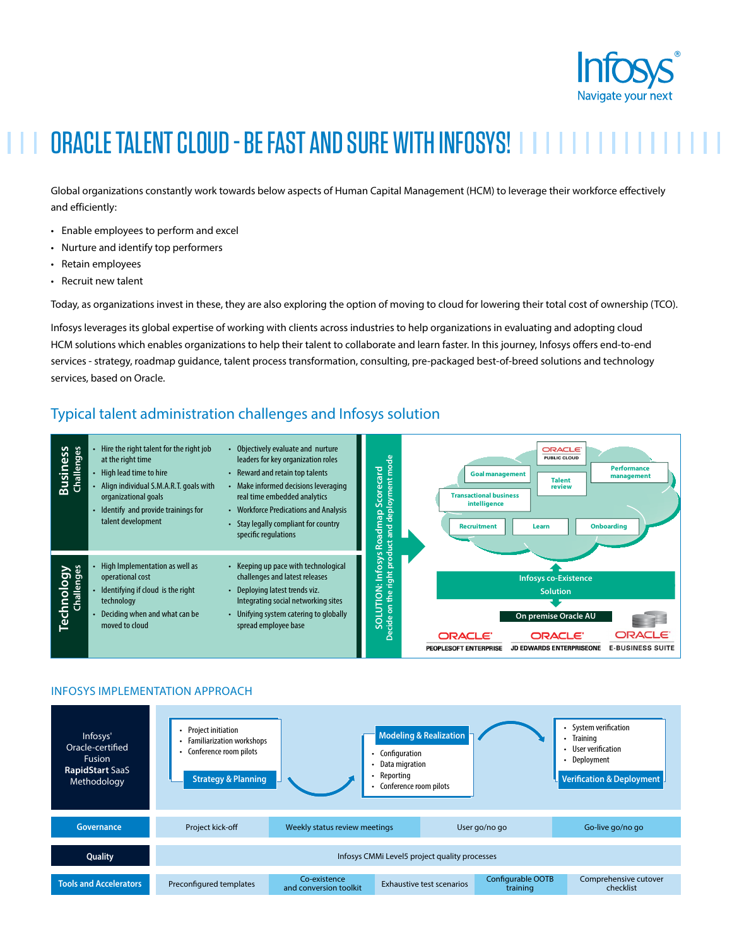

# ORACLE TALENT CLOUD - BE FAST AND SURE WITH INFOSYS!

Global organizations constantly work towards below aspects of Human Capital Management (HCM) to leverage their workforce effectively and efficiently:

- Enable employees to perform and excel
- Nurture and identify top performers
- Retain employees
- Recruit new talent

Today, as organizations invest in these, they are also exploring the option of moving to cloud for lowering their total cost of ownership (TCO).

Infosys leverages its global expertise of working with clients across industries to help organizations in evaluating and adopting cloud HCM solutions which enables organizations to help their talent to collaborate and learn faster. In this journey, Infosys offers end-to-end services - strategy, roadmap guidance, talent process transformation, consulting, pre-packaged best-of-breed solutions and technology services, based on Oracle.

### Typical talent administration challenges and Infosys solution



#### INFOSYS IMPLEMENTATION APPROACH